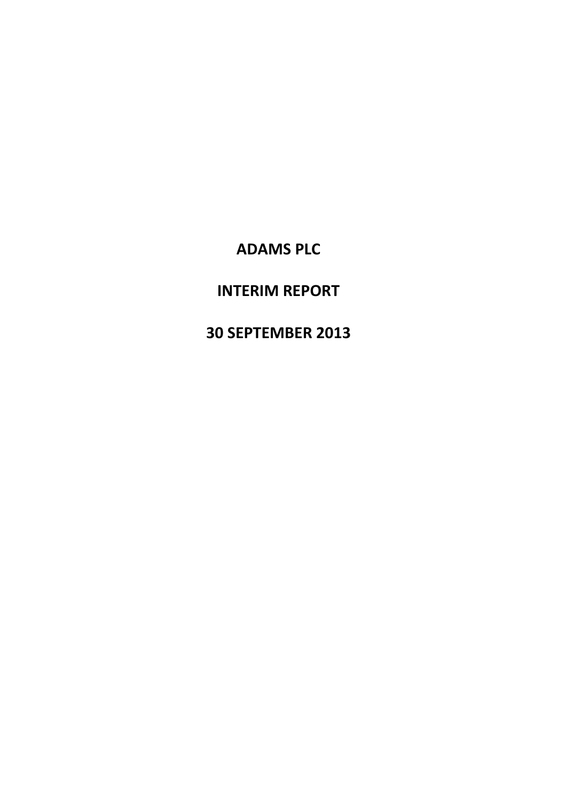# INTERIM REPORT

# 30 SEPTEMBER 2013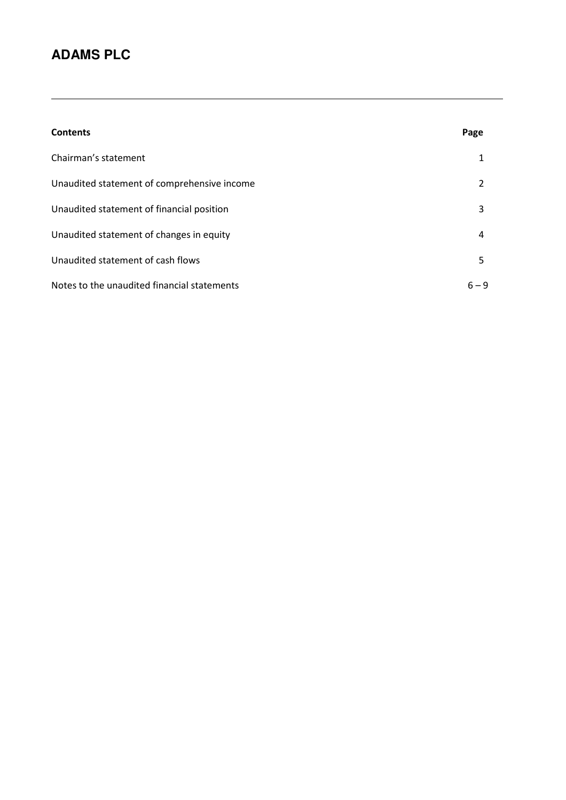| <b>Contents</b>                             | Page    |
|---------------------------------------------|---------|
| Chairman's statement                        |         |
| Unaudited statement of comprehensive income | 2       |
| Unaudited statement of financial position   | 3       |
| Unaudited statement of changes in equity    | 4       |
| Unaudited statement of cash flows           | 5.      |
| Notes to the unaudited financial statements | $6 - 9$ |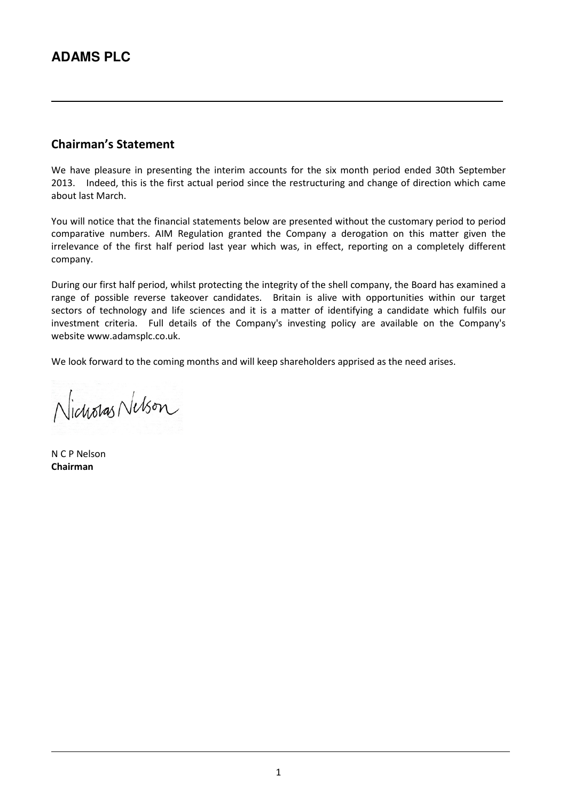### Chairman's Statement

We have pleasure in presenting the interim accounts for the six month period ended 30th September 2013. Indeed, this is the first actual period since the restructuring and change of direction which came about last March.

You will notice that the financial statements below are presented without the customary period to period comparative numbers. AIM Regulation granted the Company a derogation on this matter given the irrelevance of the first half period last year which was, in effect, reporting on a completely different company.

During our first half period, whilst protecting the integrity of the shell company, the Board has examined a range of possible reverse takeover candidates. Britain is alive with opportunities within our target sectors of technology and life sciences and it is a matter of identifying a candidate which fulfils our investment criteria. Full details of the Company's investing policy are available on the Company's website www.adamsplc.co.uk.

We look forward to the coming months and will keep shareholders apprised as the need arises.

Nicholas Nelson

N C P Nelson Chairman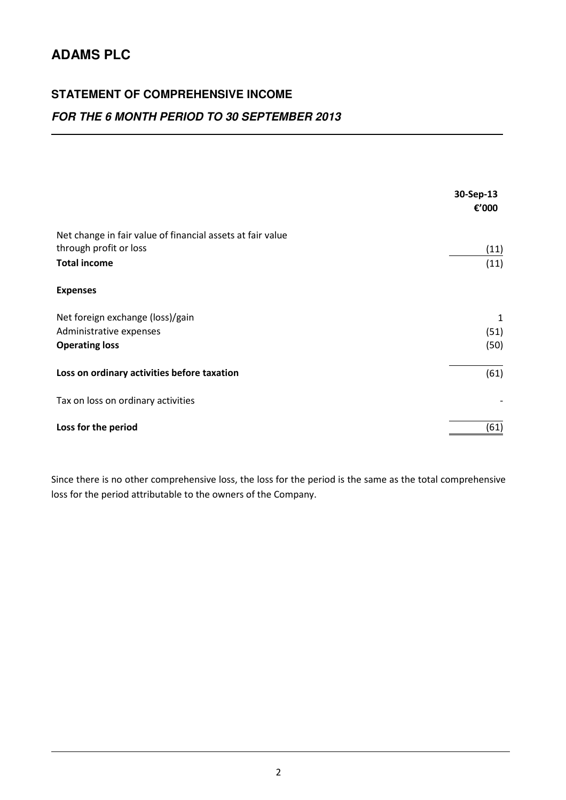# **STATEMENT OF COMPREHENSIVE INCOME**

## **FOR THE 6 MONTH PERIOD TO 30 SEPTEMBER 2013**

|                                                                                      | 30-Sep-13<br>€'000 |
|--------------------------------------------------------------------------------------|--------------------|
| Net change in fair value of financial assets at fair value<br>through profit or loss | (11)               |
| <b>Total income</b>                                                                  | (11)               |
| <b>Expenses</b>                                                                      |                    |
| Net foreign exchange (loss)/gain                                                     | 1                  |
| Administrative expenses                                                              | (51)               |
| <b>Operating loss</b>                                                                | (50)               |
| Loss on ordinary activities before taxation                                          | (61)               |
| Tax on loss on ordinary activities                                                   |                    |
| Loss for the period                                                                  | (61)               |

Since there is no other comprehensive loss, the loss for the period is the same as the total comprehensive loss for the period attributable to the owners of the Company.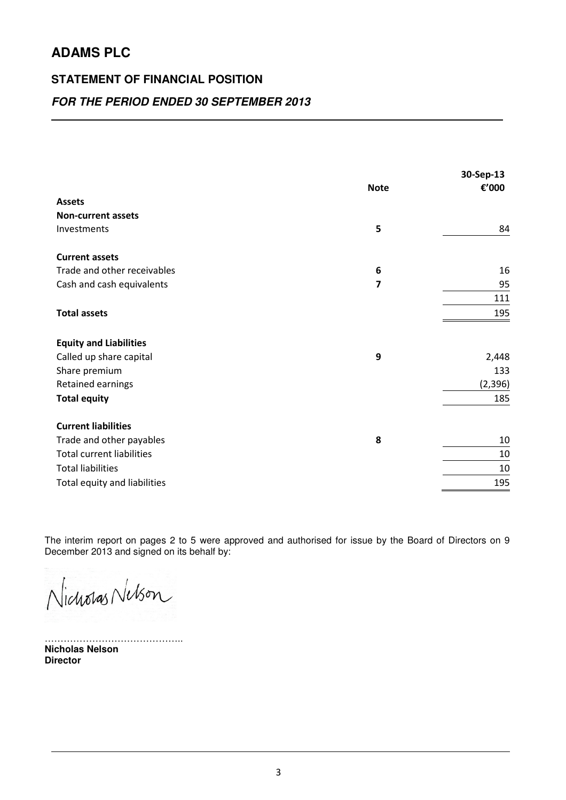### **STATEMENT OF FINANCIAL POSITION**

### **FOR THE PERIOD ENDED 30 SEPTEMBER 2013**

| <b>Assets</b><br><b>Non-current assets</b><br>5<br>Investments<br>84<br><b>Current assets</b><br>Trade and other receivables<br>6<br>16<br>$\overline{7}$<br>95<br>Cash and cash equivalents<br>111<br><b>Total assets</b><br>195<br><b>Equity and Liabilities</b><br>9<br>Called up share capital<br>133<br>Share premium<br>Retained earnings<br>(2, 396)<br><b>Total equity</b><br>185<br><b>Current liabilities</b><br>8<br>Trade and other payables<br>10<br><b>Total current liabilities</b><br>10<br><b>Total liabilities</b><br>10<br>195<br>Total equity and liabilities | <b>Note</b> | 30-Sep-13<br>€'000 |
|-----------------------------------------------------------------------------------------------------------------------------------------------------------------------------------------------------------------------------------------------------------------------------------------------------------------------------------------------------------------------------------------------------------------------------------------------------------------------------------------------------------------------------------------------------------------------------------|-------------|--------------------|
|                                                                                                                                                                                                                                                                                                                                                                                                                                                                                                                                                                                   |             |                    |
|                                                                                                                                                                                                                                                                                                                                                                                                                                                                                                                                                                                   |             |                    |
|                                                                                                                                                                                                                                                                                                                                                                                                                                                                                                                                                                                   |             |                    |
|                                                                                                                                                                                                                                                                                                                                                                                                                                                                                                                                                                                   |             |                    |
|                                                                                                                                                                                                                                                                                                                                                                                                                                                                                                                                                                                   |             |                    |
|                                                                                                                                                                                                                                                                                                                                                                                                                                                                                                                                                                                   |             |                    |
|                                                                                                                                                                                                                                                                                                                                                                                                                                                                                                                                                                                   |             |                    |
|                                                                                                                                                                                                                                                                                                                                                                                                                                                                                                                                                                                   |             |                    |
|                                                                                                                                                                                                                                                                                                                                                                                                                                                                                                                                                                                   |             |                    |
|                                                                                                                                                                                                                                                                                                                                                                                                                                                                                                                                                                                   |             | 2,448              |
|                                                                                                                                                                                                                                                                                                                                                                                                                                                                                                                                                                                   |             |                    |
|                                                                                                                                                                                                                                                                                                                                                                                                                                                                                                                                                                                   |             |                    |
|                                                                                                                                                                                                                                                                                                                                                                                                                                                                                                                                                                                   |             |                    |
|                                                                                                                                                                                                                                                                                                                                                                                                                                                                                                                                                                                   |             |                    |
|                                                                                                                                                                                                                                                                                                                                                                                                                                                                                                                                                                                   |             |                    |
|                                                                                                                                                                                                                                                                                                                                                                                                                                                                                                                                                                                   |             |                    |
|                                                                                                                                                                                                                                                                                                                                                                                                                                                                                                                                                                                   |             |                    |
|                                                                                                                                                                                                                                                                                                                                                                                                                                                                                                                                                                                   |             |                    |

The interim report on pages 2 to 5 were approved and authorised for issue by the Board of Directors on 9 December 2013 and signed on its behalf by:

Nicholas Nelson

…………………………………….. **Nicholas Nelson Director**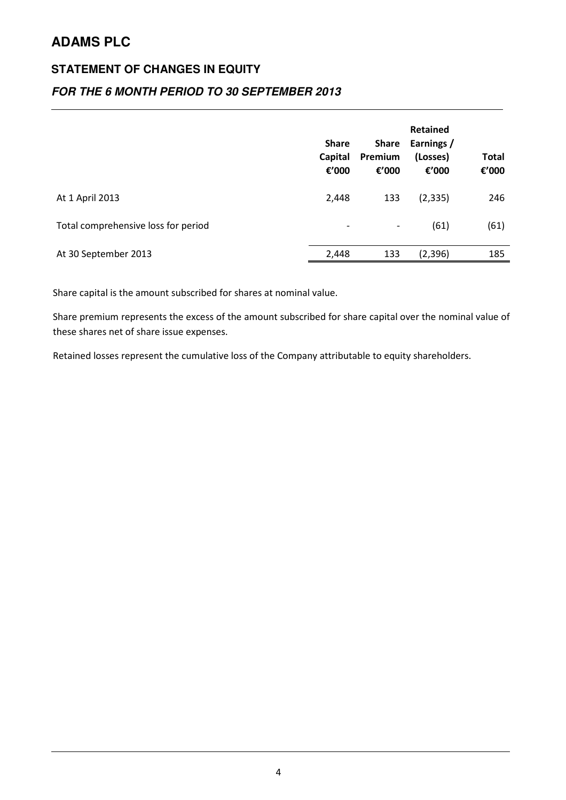## **STATEMENT OF CHANGES IN EQUITY**

### **FOR THE 6 MONTH PERIOD TO 30 SEPTEMBER 2013**

|                                     | <b>Share</b><br>Capital<br>€'000 | <b>Share</b><br>Premium<br>€'000 | Retained<br>Earnings /<br>(Losses)<br>€'000 | Total<br>€'000 |
|-------------------------------------|----------------------------------|----------------------------------|---------------------------------------------|----------------|
| At 1 April 2013                     | 2,448                            | 133                              | (2, 335)                                    | 246            |
| Total comprehensive loss for period | $\overline{\phantom{a}}$         | $\qquad \qquad \blacksquare$     | (61)                                        | (61)           |
| At 30 September 2013                | 2,448                            | 133                              | (2,396)                                     | 185            |

Share capital is the amount subscribed for shares at nominal value.

Share premium represents the excess of the amount subscribed for share capital over the nominal value of these shares net of share issue expenses.

Retained losses represent the cumulative loss of the Company attributable to equity shareholders.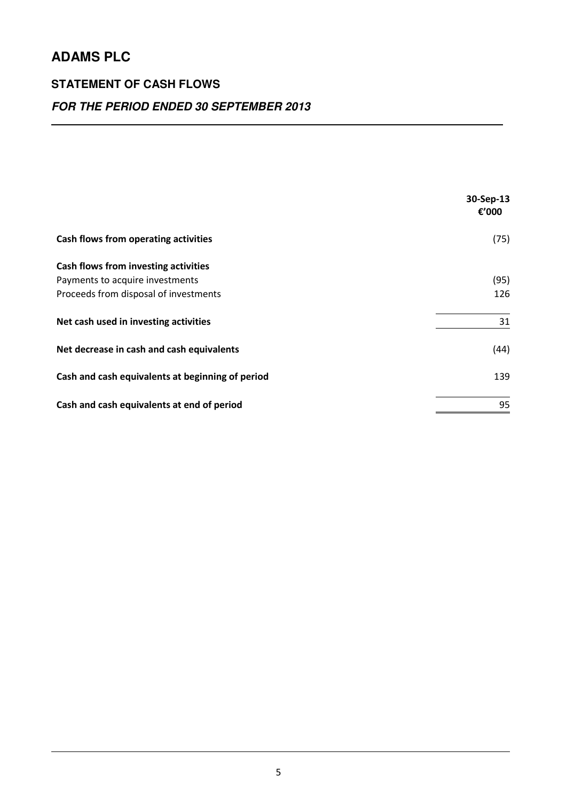## **STATEMENT OF CASH FLOWS**

## **FOR THE PERIOD ENDED 30 SEPTEMBER 2013**

|                                                  | 30-Sep-13<br>€'000 |
|--------------------------------------------------|--------------------|
| Cash flows from operating activities             | (75)               |
| Cash flows from investing activities             |                    |
| Payments to acquire investments                  | (95)               |
| Proceeds from disposal of investments            | 126                |
| Net cash used in investing activities            | 31                 |
| Net decrease in cash and cash equivalents        | (44)               |
| Cash and cash equivalents at beginning of period | 139                |
| Cash and cash equivalents at end of period       | 95                 |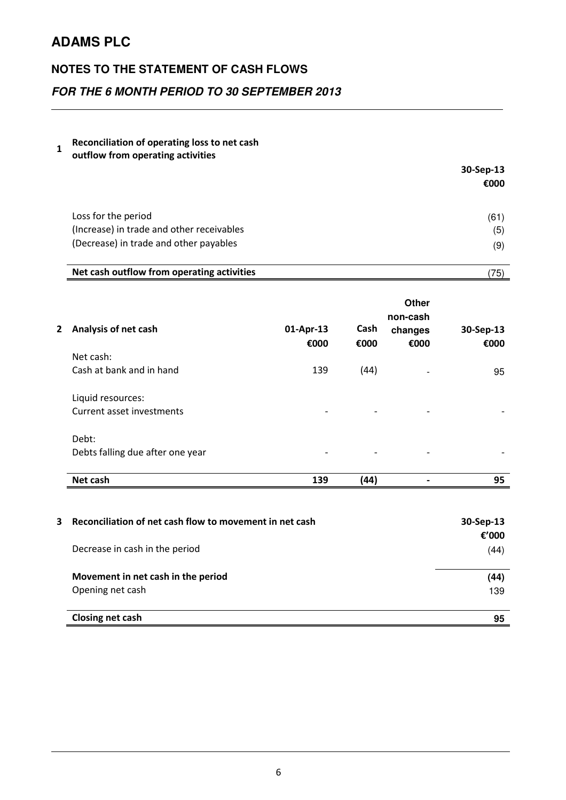### **NOTES TO THE STATEMENT OF CASH FLOWS**

## **FOR THE 6 MONTH PERIOD TO 30 SEPTEMBER 2013**

#### 1 Reconciliation of operating loss to net cash

outflow from operating activities

|                                           | 30-Sep-13 |
|-------------------------------------------|-----------|
|                                           | €000      |
|                                           |           |
| Loss for the period                       | (61)      |
| (Increase) in trade and other receivables | (5)       |
| (Decrease) in trade and other payables    | (9)       |

### Net cash outflow from operating activities (75)

| <b>Analysis of net cash</b><br>2 | 01-Apr-13<br>€000        | Cash<br>€000             | Other<br>non-cash<br>changes<br>€000 | 30-Sep-13<br>€000 |
|----------------------------------|--------------------------|--------------------------|--------------------------------------|-------------------|
| Net cash:                        |                          |                          |                                      |                   |
| Cash at bank and in hand         | 139                      | (44)                     | $\overline{\phantom{0}}$             | 95                |
| Liquid resources:                |                          |                          |                                      |                   |
| Current asset investments        | $\overline{\phantom{a}}$ | $\overline{\phantom{a}}$ | $\overline{\phantom{a}}$             |                   |
| Debt:                            |                          |                          |                                      |                   |
| Debts falling due after one year | $\overline{\phantom{a}}$ |                          | $\qquad \qquad$                      |                   |
| Net cash                         | 139                      | (44)                     | -                                    | 95                |

| 3 | Reconciliation of net cash flow to movement in net cash | 30-Sep-13     |
|---|---------------------------------------------------------|---------------|
|   | Decrease in cash in the period                          | €'000<br>(44) |
|   | Movement in net cash in the period<br>Opening net cash  | (44)<br>139   |
|   | <b>Closing net cash</b>                                 | 95            |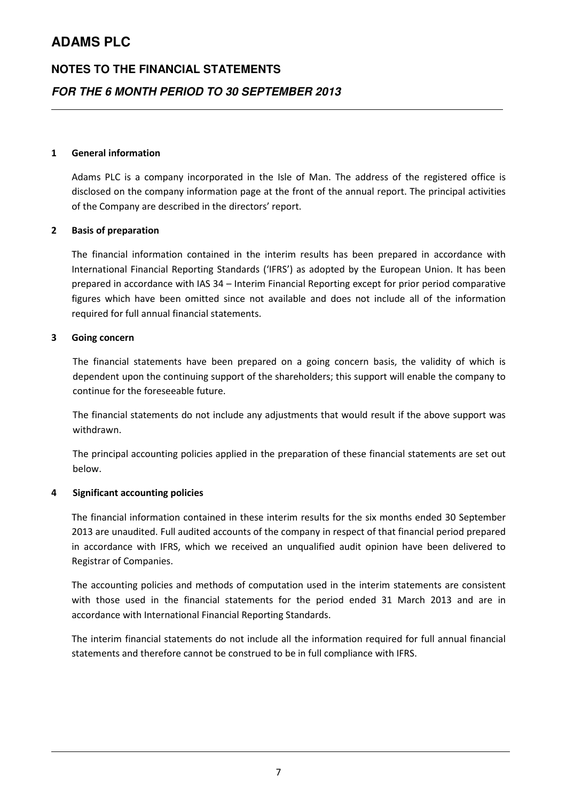# **NOTES TO THE FINANCIAL STATEMENTS FOR THE 6 MONTH PERIOD TO 30 SEPTEMBER 2013**

### 1 General information

Adams PLC is a company incorporated in the Isle of Man. The address of the registered office is disclosed on the company information page at the front of the annual report. The principal activities of the Company are described in the directors' report.

#### 2 Basis of preparation

The financial information contained in the interim results has been prepared in accordance with International Financial Reporting Standards ('IFRS') as adopted by the European Union. It has been prepared in accordance with IAS 34 – Interim Financial Reporting except for prior period comparative figures which have been omitted since not available and does not include all of the information required for full annual financial statements.

#### 3 Going concern

The financial statements have been prepared on a going concern basis, the validity of which is dependent upon the continuing support of the shareholders; this support will enable the company to continue for the foreseeable future.

The financial statements do not include any adjustments that would result if the above support was withdrawn.

The principal accounting policies applied in the preparation of these financial statements are set out below.

#### 4 Significant accounting policies

The financial information contained in these interim results for the six months ended 30 September 2013 are unaudited. Full audited accounts of the company in respect of that financial period prepared in accordance with IFRS, which we received an unqualified audit opinion have been delivered to Registrar of Companies.

The accounting policies and methods of computation used in the interim statements are consistent with those used in the financial statements for the period ended 31 March 2013 and are in accordance with International Financial Reporting Standards.

The interim financial statements do not include all the information required for full annual financial statements and therefore cannot be construed to be in full compliance with IFRS.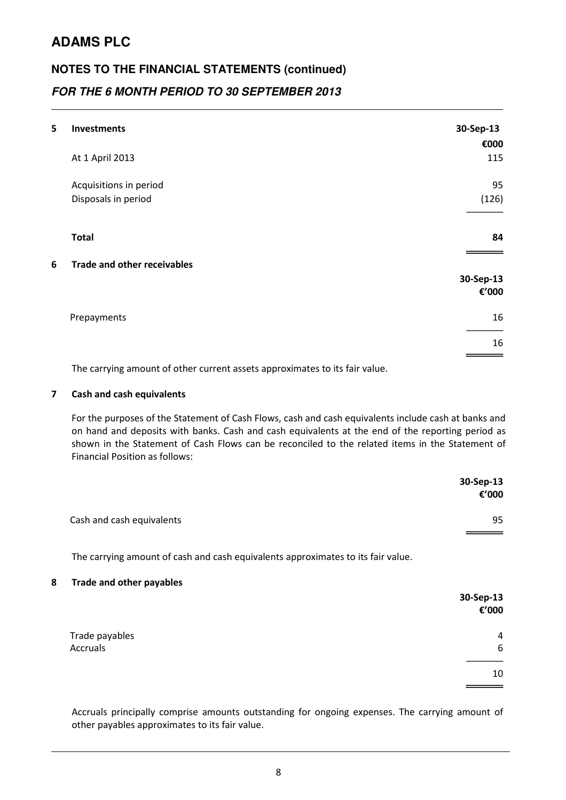# **NOTES TO THE FINANCIAL STATEMENTS (continued) FOR THE 6 MONTH PERIOD TO 30 SEPTEMBER 2013**

| 5 | <b>Investments</b>                 | 30-Sep-13          |
|---|------------------------------------|--------------------|
|   |                                    | €000               |
|   | At 1 April 2013                    | 115                |
|   | Acquisitions in period             | 95                 |
|   | Disposals in period                | (126)              |
|   | <b>Total</b>                       | 84                 |
| 6 | <b>Trade and other receivables</b> |                    |
|   |                                    | 30-Sep-13<br>€'000 |
|   | Prepayments                        | 16                 |
|   |                                    | 16                 |
|   |                                    |                    |

The carrying amount of other current assets approximates to its fair value.

### 7 Cash and cash equivalents

For the purposes of the Statement of Cash Flows, cash and cash equivalents include cash at banks and on hand and deposits with banks. Cash and cash equivalents at the end of the reporting period as shown in the Statement of Cash Flows can be reconciled to the related items in the Statement of Financial Position as follows:

|                           | 30-Sep-13<br>€'000 |
|---------------------------|--------------------|
| Cash and cash equivalents | 95                 |

The carrying amount of cash and cash equivalents approximates to its fair value.

#### 8 Trade and other payables

|                | 30-Sep-13<br>€'000 |
|----------------|--------------------|
| Trade payables | $\overline{4}$     |
| Accruals       | 6                  |
|                | 10                 |
|                |                    |

Accruals principally comprise amounts outstanding for ongoing expenses. The carrying amount of other payables approximates to its fair value.